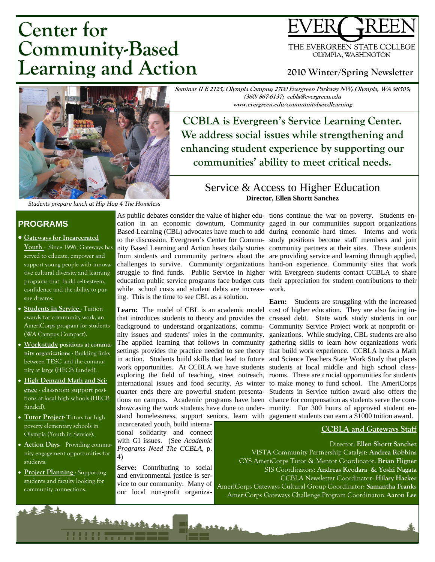# **Center for Community-Based Learning and Action**



#### **2010 Winter/Spring Newsletter**



*Students prepare lunch at Hip Hop 4 The Homeless* 

#### **PROGRAMS**

- **Gateways for Incarcerated Youth** - Since 1996, Gateways has served to educate, empower and support young people with innovative cultural diversity and learning programs that build self-esteem, confidence and the ability to pursue dreams.
- **Students in Service** Tuition awards for community work, an AmeriCorps program for students (WA Campus Compact).
- **Work-study positions at community organizations -** Building links between TESC and the community at large (HECB funded).
- **High Demand Math and Science** - classroom support positions at local high schools (HECB funded).
- **Tutor Project-** Tutors for high poverty elementary schools in Olympia (Youth in Service).
- **Action Days-** Providing community engagement opportunities for students.
- **Project Planning** Supporting students and faculty looking for community connections.

while school costs and student debts are increas-work. ing. This is the time to see CBL as a solution.

incarcerated youth, build international solidarity and connect with GI issues. (See *Academic Programs Need The CCBLA*, p. 4)

Serve: Contributing to social and environmental justice is service to our community. Many of our local non-profit organiza-

**Seminar II E 2125, Olympia Campus; 2700 Evergreen Parkway NW; Olympia, WA 98505; (360) 867-6137; ccbla@evergreen.edu www.evergreen.edu/communitybasedlearning** 

**CCBLA is Evergreen's Service Learning Center. We address social issues while strengthening and enhancing student experience by supporting our communities' ability to meet critical needs.** 

#### Service & Access to Higher Education **Director, Ellen Shortt Sanchez**

As public debates consider the value of higher edu-tions continue the war on poverty. Students encation in an economic downturn, Community gaged in our communities support organizations Based Learning (CBL) advocates have much to add during economic hard times. Interns and work to the discussion. Evergreen's Center for Commu-study positions become staff members and join nity Based Learning and Action hears daily stories community partners at their sites. These students from students and community partners about the are providing service and learning through applied, challenges to survive. Community organizations hand-on experience. Community sites that work struggle to find funds. Public Service in higher with Evergreen students contact CCBLA to share education public service programs face budget cuts their appreciation for student contributions to their

Learn: The model of CBL is an academic model cost of higher education. They are also facing inthat introduces students to theory and provides the creased debt. State work study students in our background to understand organizations, commu-Community Service Project work at nonprofit ornity issues and students' roles in the community. ganizations. While studying, CBL students are also The applied learning that follows in community gathering skills to learn how organizations work settings provides the practice needed to see theory that build work experience. CCBLA hosts a Math in action. Students build skills that lead to future and Science Teachers State Work Study that places work opportunities. At CCBLA we have students students at local middle and high school classexploring the field of teaching, street outreach, rooms. These are crucial opportunities for students international issues and food security. As winter to make money to fund school. The AmeriCorps quarter ends there are powerful student presenta-Students in Service tuition award also offers the tions on campus. Academic programs have been chance for compensation as students serve the comshowcasing the work students have done to under-munity. For 300 hours of approved student enstand homelessness, support seniors, learn with gagement students can earn a \$1000 tuition award. **Earn:** Students are struggling with the increased

#### **CCBLA and Gateways Staff**

Director: **Ellen Shortt Sanchez**  VISTA Community Partnership Catalyst: **Andrea Robbins**  CYS AmeriCorps Tutor & Mentor Coordinator: **Brian Fligner**  SIS Coordinators: **Andreas Keodara & Yoshi Nagata**  CCBLA Newsletter Coordinator: **Hilary Hacker**  AmeriCorps Gateways Cultural Group Coordinator: **Samantha Franks**  AmeriCorps Gateways Challenge Program Coordinator**: Aaron Lee** 

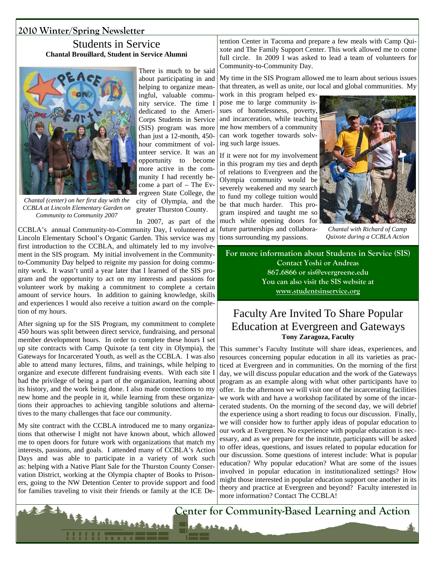#### Students in Service **Chantal Brouillard, Student in Service Alumni**



*Chantal (center) on her first day with the CCBLA at Lincoln Elementary Garden on Community to Community 2007* 

There is much to be said about participating in and helping to organize meaningful, valuable community service. The time I dedicated to the Ameri-Corps Students in Service (SIS) program was more than just a 12-month, 450 hour commitment of volunteer service. It was an opportunity to become more active in the community I had recently become a part of – The Evergreen State College, the city of Olympia, and the

greater Thurston County.

In 2007, as part of the CCBLA's annual Community-to-Community Day, I volunteered at Lincoln Elementary School's Organic Garden. This service was my first introduction to the CCBLA, and ultimately led to my involvement in the SIS program. My initial involvement in the Communityto-Community Day helped to reignite my passion for doing community work. It wasn't until a year later that I learned of the SIS program and the opportunity to act on my interests and passions for volunteer work by making a commitment to complete a certain amount of service hours. In addition to gaining knowledge, skills and experiences I would also receive a tuition award on the completion of my hours.

After signing up for the SIS Program, my commitment to complete 450 hours was split between direct service, fundraising, and personal member development hours. In order to complete these hours I set up site contracts with Camp Quixote (a tent city in Olympia), the Gateways for Incarcerated Youth, as well as the CCBLA. I was also able to attend many lectures, films, and trainings, while helping to organize and execute different fundraising events. With each site I had the privilege of being a part of the organization, learning about its history, and the work being done. I also made connections to my new home and the people in it, while learning from these organizations their approaches to achieving tangible solutions and alternatives to the many challenges that face our community.

My site contract with the CCBLA introduced me to many organizations that otherwise I might not have known about, which allowed me to open doors for future work with organizations that match my interests, passions, and goals. I attended many of CCBLA's Action Days and was able to participate in a variety of work such as: helping with a Native Plant Sale for the Thurston County Conservation District, working at the Olympia chapter of Books to Prisoners, going to the NW Detention Center to provide support and food for families traveling to visit their friends or family at the ICE De-

ukatkarka ka

tention Center in Tacoma and prepare a few meals with Camp Quixote and The Family Support Center. This work allowed me to come full circle. In 2009 I was asked to lead a team of volunteers for Community-to-Community Day.

My time in the SIS Program allowed me to learn about serious issues that threaten, as well as unite, our local and global communities. My

work in this program helped expose me to large community issues of homelessness, poverty, and incarceration, while teaching me how members of a community can work together towards solving such large issues.

If it were not for my involvement in this program my ties and depth of relations to Evergreen and the Olympia community would be severely weakened and my search to fund my college tuition would be that much harder. This program inspired and taught me so much while opening doors for future partnerships and collaborations surrounding my passions.



*Chantal with Richard of Camp Quixote during a CCBLA Action* 

**For more information about Students in Service (SIS) Contact Yoshi or Andreas 867.6866 or sis@evergreene.edu You can also visit the SIS website at www.studentsinservice.org**

# Faculty Are Invited To Share Popular Education at Evergreen and Gateways **Tony Zaragoza, Faculty**

This summer's Faculty Institute will share ideas, experiences, and resources concerning popular education in all its varieties as practiced at Evergreen and in communities. On the morning of the first day, we will discuss popular education and the work of the Gateways program as an example along with what other participants have to offer. In the afternoon we will visit one of the incarcerating facilities we work with and have a workshop facilitated by some of the incarcerated students. On the morning of the second day, we will debrief the experience using a short reading to focus our discussion. Finally, we will consider how to further apply ideas of popular education to our work at Evergreen. No experience with popular education is necessary, and as we prepare for the institute, participants will be asked to offer ideas, questions, and issues related to popular education for our discussion. Some questions of interest include: What is popular education? Why popular education? What are some of the issues involved in popular education in institutionalized settings? How might those interested in popular education support one another in its theory and practice at Evergreen and beyond? Faculty interested in more information? Contact The CCBLA!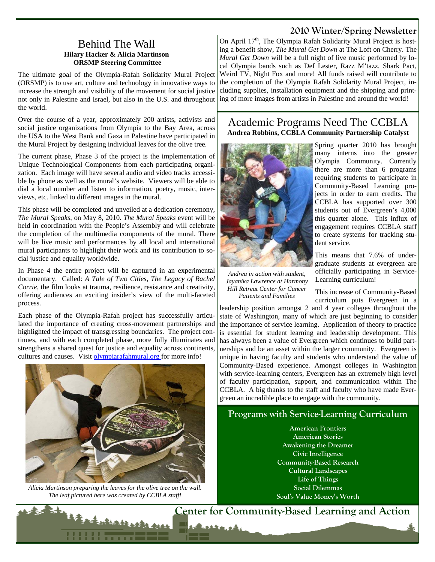#### Behind The Wall **Hilary Hacker & Alicia Martinson ORSMP Steering Committee**

The ultimate goal of the Olympia-Rafah Solidarity Mural Project (ORSMP) is to use art, culture and technology in innovative ways to increase the strength and visibility of the movement for social justice not only in Palestine and Israel, but also in the U.S. and throughout the world.

Over the course of a year, approximately 200 artists, activists and social justice organizations from Olympia to the Bay Area, across the USA to the West Bank and Gaza in Palestine have participated in the Mural Project by designing individual leaves for the olive tree.

The current phase, Phase 3 of the project is the implementation of Unique Technological Components from each participating organization. Each image will have several audio and video tracks accessible by phone as well as the mural's website. Viewers will be able to dial a local number and listen to information, poetry, music, interviews, etc. linked to different images in the mural.

This phase will be completed and unveiled at a dedication ceremony, *The Mural Speaks*, on May 8, 2010*. The Mural Speaks* event will be held in coordination with the People's Assembly and will celebrate the completion of the multimedia components of the mural. There will be live music and performances by all local and international mural participants to highlight their work and its contribution to social justice and equality worldwide.

In Phase 4 the entire project will be captured in an experimental documentary. Called: *A Tale of Two Cities, The Legacy of Rachel Corrie*, the film looks at trauma, resilience, resistance and creativity, offering audiences an exciting insider's view of the multi-faceted process.

Each phase of the Olympia-Rafah project has successfully articulated the importance of creating cross-movement partnerships and highlighted the impact of transgressing boundaries. The project continues, and with each completed phase, more fully illuminates and strengthens a shared quest for justice and equality across continents, cultures and causes. Visit olympiarafahmural.org for more info!



*Alicia Martinson preparing the leaves for the olive tree on the wall. The leaf pictured here was created by CCBLA staff!* 

Mallack fill

On April 17<sup>th</sup>, The Olympia Rafah Solidarity Mural Project is hosting a benefit show, *The Mural Get Down* at The Loft on Cherry. The *Mural Get Down* will be a full night of live music performed by local Olympia bands such as Def Lester, Razz M'tazz, Shark Pact, Weird TV, Night Fox and more! All funds raised will contribute to the completion of the Olympia Rafah Solidarity Mural Project, including supplies, installation equipment and the shipping and printing of more images from artists in Palestine and around the world!

## Academic Programs Need The CCBLA **Andrea Robbins, CCBLA Community Partnership Catalyst**



*Andrea in action with student, Jayanika Lawrence at Harmony Hill Retreat Center for Cancer Patients and Families* 

Spring quarter 2010 has brought many interns into the greater Olympia Community. Currently there are more than 6 programs requiring students to participate in Community-Based Learning projects in order to earn credits. The CCBLA has supported over 300 students out of Evergreen's 4,000 this quarter alone. This influx of engagement requires CCBLA staff to create systems for tracking student service.

This means that 7.6% of undergraduate students at evergreen are officially participating in Service-Learning curriculum!

This increase of Community-Based curriculum puts Evergreen in a

leadership position amongst 2 and 4 year colleges throughout the state of Washington, many of which are just beginning to consider the importance of service learning. Application of theory to practice is essential for student learning and leadership development. This has always been a value of Evergreen which continues to build partnerships and be an asset within the larger community. Evergreen is unique in having faculty and students who understand the value of Community-Based experience. Amongst colleges in Washington with service-learning centers, Evergreen has an extremely high level of faculty participation, support, and communication within The CCBLA. A big thanks to the staff and faculty who have made Evergreen an incredible place to engage with the community.

# **Programs with Service-Learning Curriculum**

**American Frontiers American Stories Awakening the Dreamer Civic Intelligence Community-Based Research Cultural Landscapes Life of Things Social Dilemmas Soul's Value Money's Worth**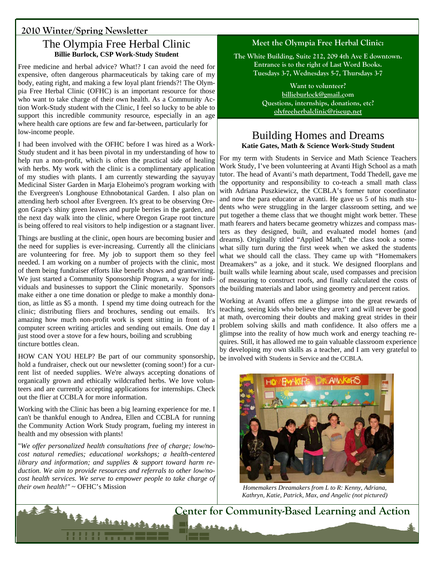# The Olympia Free Herbal Clinic **Billie Burlock, CSP Work-Study Student**

Free medicine and herbal advice? What!? I can avoid the need for expensive, often dangerous pharmaceuticals by taking care of my body, eating right, and making a few loyal plant friends?! The Olympia Free Herbal Clinic (OFHC) is an important resource for those who want to take charge of their own health. As a Community Action Work-Study student with the Clinic, I feel so lucky to be able to support this incredible community resource, especially in an age where health care options are few and far-between, particularly for low-income people.

I had been involved with the OFHC before I was hired as a Work-Study student and it has been pivotal in my understanding of how to help run a non-profit, which is often the practical side of healing with herbs. My work with the clinic is a complimentary application of my studies with plants. I am currently stewarding the sayuyay Medicinal Sister Garden in Marja Eloheimo's program working with the Evergreen's Longhouse Ethnobotanical Garden. I also plan on attending herb school after Evergreen. It's great to be observing Oregon Grape's shiny green leaves and purple berries in the garden, and the next day walk into the clinic, where Oregon Grape root tincture is being offered to real visitors to help indigestion or a stagnant liver.

Things are bustling at the clinic, open hours are becoming busier and the need for supplies is ever-increasing. Currently all the clinicians are volunteering for free. My job to support them so they feel needed. I am working on a number of projects with the clinic, most of them being fundraiser efforts like benefit shows and grantwriting. We just started a Community Sponsorship Program, a way for individuals and businesses to support the Clinic monetarily. Sponsors make either a one time donation or pledge to make a monthly donation, as little as \$5 a month. I spend my time doing outreach for the clinic; distributing fliers and brochures, sending out emails. It's amazing how much non-profit work is spent sitting in front of a computer screen writing articles and sending out emails. One day I just stood over a stove for a few hours, boiling and scrubbing tincture bottles clean.

HOW CAN YOU HELP? Be part of our community sponsorship, hold a fundraiser, check out our newsletter (coming soon!) for a current list of needed supplies. We're always accepting donations of organically grown and ethically wildcrafted herbs. We love volunteers and are currently accepting applications for internships. Check out the flier at CCBLA for more information.

Working with the Clinic has been a big learning experience for me. I can't be thankful enough to Andrea, Ellen and CCBLA for running the Community Action Work Study program, fueling my interest in health and my obsession with plants!

"*We offer personalized health consultations free of charge; low/nocost natural remedies; educational workshops; a health-centered library and information; and supplies & support toward harm reduction. We aim to provide resources and referrals to other low/nocost health services. We serve to empower people to take charge of their own health!"* ~ OFHC's Mission

the dutes Harde gree

## **Meet the Olympia Free Herbal Clinic:**

**The White Building, Suite 212, 209 4th Ave E downtown. Entrance is to the right of Last Word Books.**  Tuesdays 3-7, Wednesdays 5-7, Thursdays 3-7

> **Want to volunteer? billieburlock@gmail.com Questions, internships, donations, etc? olyfreeherbalclinic@riseup.net**

# Building Homes and Dreams **Katie Gates, Math & Science Work-Study Student**

For my term with Students in Service and Math Science Teachers Work Study, I've been volunteering at Avanti High School as a math tutor. The head of Avanti's math department, Todd Thedell, gave me the opportunity and responsibility to co-teach a small math class with Adriana Puszkiewicz, the CCBLA's former tutor coordinator and now the para educator at Avanti. He gave us 5 of his math students who were struggling in the larger classroom setting, and we put together a theme class that we thought might work better. These math fearers and haters became geometry whizzes and compass masters as they designed, built, and evaluated model homes (and dreams). Originally titled "Applied Math," the class took a somewhat silly turn during the first week when we asked the students what we should call the class. They came up with "Homemakers Dreamakers" as a joke, and it stuck. We designed floorplans and built walls while learning about scale, used compasses and precision of measuring to construct roofs, and finally calculated the costs of the building materials and labor using geometry and percent ratios.

Working at Avanti offers me a glimpse into the great rewards of teaching, seeing kids who believe they aren't and will never be good at math, overcoming their doubts and making great strides in their problem solving skills and math confidence. It also offers me a glimpse into the reality of how much work and energy teaching requires. Still, it has allowed me to gain valuable classroom experience by developing my own skills as a teacher, and I am very grateful to be involved with Students in Service and the CCBLA.



*Homemakers Dreamakers from L to R: Kenny, Adriana, Kathryn, Katie, Patrick, Max, and Angelic (not pictured)* 

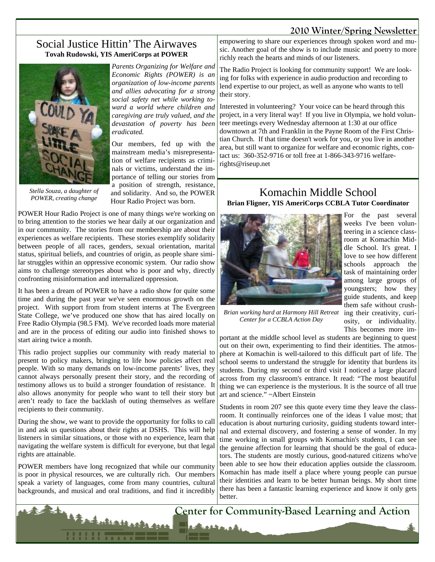#### Social Justice Hittin' The Airwaves **Tovah Rudowski, YIS AmeriCorps at POWER**



*Stella Souza, a daughter of POWER, creating change* 

*Parents Organizing for Welfare and Economic Rights (POWER) is an organization of low-income parents and allies advocating for a strong social safety net while working toward a world where children and caregiving are truly valued, and the devastation of poverty has been eradicated.* 

Our members, fed up with the mainstream media's misrepresentation of welfare recipients as criminals or victims, understand the importance of telling our stories from a position of strength, resistance, and solidarity. And so, the POWER Hour Radio Project was born.

POWER Hour Radio Project is one of many things we're working on to bring attention to the stories we hear daily at our organization and in our community. The stories from our membership are about their experiences as welfare recipients. These stories exemplify solidarity between people of all races, genders, sexual orientation, marital status, spiritual beliefs, and countries of origin, as people share similar struggles within an oppressive economic system. Our radio show aims to challenge stereotypes about who is poor and why, directly confronting misinformation and internalized oppression.

It has been a dream of POWER to have a radio show for quite some time and during the past year we've seen enormous growth on the project. With support from from student interns at The Evergreen State College, we've produced one show that has aired locally on Free Radio Olympia (98.5 FM). We've recorded loads more material and are in the process of editing our audio into finished shows to start airing twice a month.

This radio project supplies our community with ready material to present to policy makers, bringing to life how policies affect real people. With so many demands on low-income parents' lives, they cannot always personally present their story, and the recording of testimony allows us to build a stronger foundation of resistance. It also allows anonymity for people who want to tell their story but aren't ready to face the backlash of outing themselves as welfare recipients to their community.

During the show, we want to provide the opportunity for folks to call in and ask us questions about their rights at DSHS. This will help listeners in similar situations, or those with no experience, learn that navigating the welfare system is difficult for everyone, but that legal rights are attainable.

POWER members have long recognized that while our community is poor in physical resources, we are culturally rich. Our members speak a variety of languages, come from many countries, cultural backgrounds, and musical and oral traditions, and find it incredibly

Alathorization

empowering to share our experiences through spoken word and music. Another goal of the show is to include music and poetry to more richly reach the hearts and minds of our listeners.

The Radio Project is looking for community support! We are looking for folks with experience in audio production and recording to lend expertise to our project, as well as anyone who wants to tell their story.

Interested in volunteering? Your voice can be heard through this project, in a very literal way! If you live in Olympia, we hold volunteer meetings every Wednesday afternoon at 1:30 at our office downtown at 7th and Franklin in the Payne Room of the First Christian Church. If that time doesn't work for you, or you live in another area, but still want to organize for welfare and economic rights, contact us: 360-352-9716 or toll free at 1-866-343-9716 welfarerights@riseup.net

#### Komachin Middle School **Brian Fligner, YIS AmeriCorps CCBLA Tutor Coordinator**



For the past several weeks I've been volunteering in a science classroom at Komachin Middle School. It's great. I love to see how different schools approach the task of maintaining order among large groups of youngsters; how they guide students, and keep them safe without crushosity, or individuality. This becomes more im-

Brian working hard at Harmony Hill Retreat *ing their creativity*, curi-*Center for a CCBLA Action Day* 

portant at the middle school level as students are beginning to quest out on their own, experimenting to find their identities. The atmosphere at Komachin is well-tailored to this difficult part of life. The school seems to understand the struggle for identity that burdens its students. During my second or third visit I noticed a large placard across from my classroom's entrance. It read: "The most beautiful thing we can experience is the mysterious. It is the source of all true art and science." ~Albert Einstein

Students in room 207 see this quote every time they leave the classroom. It continually reinforces one of the ideas I value most; that education is about nurturing curiosity, guiding students toward internal and external discovery, and fostering a sense of wonder. In my time working in small groups with Komachin's students, I can see the genuine affection for learning that should be the goal of educators. The students are mostly curious, good-natured citizens who've been able to see how their education applies outside the classroom. Komachin has made itself a place where young people can pursue their identities and learn to be better human beings. My short time there has been a fantastic learning experience and know it only gets better.